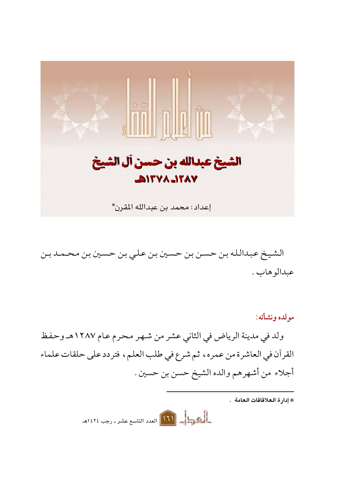

الشيخ عبدالله بن حسن بن حسين بن علي بن حسين بن محمد بن عبدالو هاب .

مولده ونشأته: ولد في مدينة الرياض في الثاني عشر من شهر محرم عام ١٢٨٧هـ وحفظ القرآن في العاشرة من عمره، ثم شرع في طلب العلم، فتردد على حلقات علماء أجلاء من أشهرهم والده الشيخ حسن بن حسين .

\* إدار ة العلاقاقات العامة .

المصرية المسلم العدد التاسع عشر ـ رجب ١٤٢٤هـ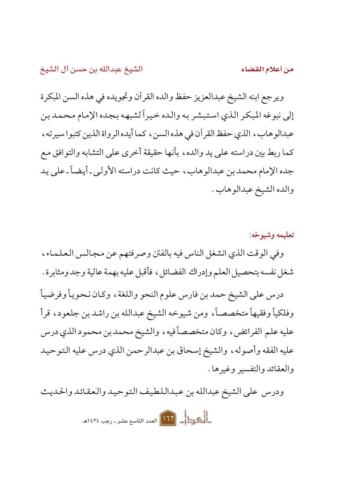من أعلام القضاء

ويرجع ابنه الشيخ عبدالعزيز حفظ والده القرآن وتجويده في هذه السن المبكرة إلى نبوغه المبكر الذي استبشر به والده خيراً لشبهه بجده الإمام محمد بن عبدالوهاب، الذي حفظ القرآن في هذه السن، كما أيده الرواة الذين كتبوا سيرته، كما ربط بين دراسته على يد والده، بأنها حقيقة أخرى على التشابه والتوافق مع جده الإمام محمد بن عبدالوهاب، حيث كانت دراسته الأولى ـ أيضاً ـ على يد والده الشيخ عبدالوهاب .

تعليمه وشيوخه: وفي الوقت الذي انشغل الناس فيه بالفتن وصرفتهم عن مجالس العلماء،

شغل نفسه بتحصيل العلم وإدراك الفضائل ، فأقبل عليه بهمة عالية وجد ومثابرة .

درس على الشيخ حمد بن فارس علوم النحو واللغة، وكان نحوياً وفرضياً وفلكياً وفقيهاً متخصصاً، ومن شيوخه الشيخ عبدالله بن راشد بن جلعود، قرأ عليه علم الفرائض، وكان متخصصاً فيه، والشيخ محمد بن محمود الذي درس عليه الفقه وأصوله، والشيخ إسحاق بن عبدالرحمن الذي درس عليه التوحيد والعقائد والتفسير وغيرها .

ودرس على الشيخ عبدالله بن عبداللطيف التوحيد والعقائد والحديث

**الجهول 117** العدد التاسع عشر ـ رجب ١٤٢٤هـ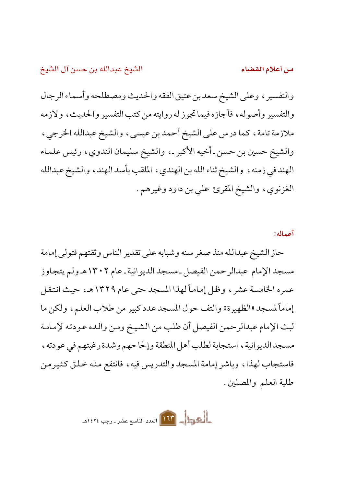والتفسير ، وعلى الشيخ سعد بن عتيق الفقه والحديث ومصطلحه وأسماء الرجال والتفسير وأصوله، فأجازه فيما تجوز له روايته من كتب التفسير والحديث، ولازمه ملازمة تامة، كما درس على الشيخ أحمد بن عيسى، والشيخ عبدالله الخرجي، والشيخ حسين بن حسن ـ أخيه الأكبر ـ، والشيخ سليمان الندوي ، رئيس علماء الهند في زمنه، والشيخ ثناء الله بن الهندي، الملقب بأسد الهند، والشيخ عبدالله الغزنوي، والشيخ المقرئ على بن داود وغيرهم.

أعماله:

من أعلام القضاء

حاز الشيخ عبدالله منذ صغر سنه وشبابه على تقدير الناس وثقتهم فتولى إمامة مسجد الإمام عبدالرحمن الفيصل ـ مسجد الديوانية ـ عام ١٣٠٢هـ ولم يتجاوز عمره الخامسة عشر ، وظل إماماً لهذا المسجد حتى عام ١٣٢٩هـ، حيث انتقل إماماً لمسجد «الظهيرة» والتف حول المسجد عدد كبير من طلاب العلم، ولكن ما لبث الإمام عبدالرحمن الفيصل أن طلب من الشيخ ومن والده عودته لإمامة مسجد الديو انية ، استجابة لطلب أهل المنطقة وإلحاحهم وشدة رغبتهم في عودته ، فاستجاب لهذا، وباشر إمامة المسجد والتدريس فيه، فانتفع منه خلق كثيرمن طلبة العلم والمصلين .

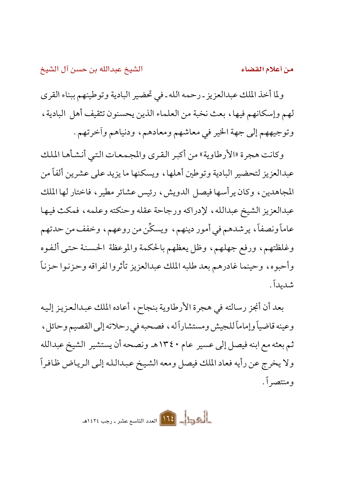من أعلام القضاء

ولما أخذ الملك عبدالعزيز ـ رحمه الله ـ في تحضير البادية وتوطينهم ببناء القرى لهم وإسكانهم فيها، بعث نخبة من العلماء الذين يحسنون تثقيف أهل البادية، وتوجيههم إلى جهة الخير في معاشهم ومعادهم، ودنياهم وأخرتهم .

وكانت هجرة «الأرطاوية» من أكبر القرى والمجمعات التبي أنشأها الملك عبدالعزيز لتحضير البادية وتوطين أهلها، ويسكنها ما يزيد على عشرين ألفاً من المجاهدين، وكان يرأسها فيصل الدويش، رئيس عشائر مطير، فاختار لها الملك عبدالعزيز الشيخ عبدالله، لإدراكه ورجاحة عقله وحنكته وعلمه، فمكث فيها عاماً ونصفاً، يرشدهم في أمور دينهم، ويسكِّن من روعهم، وخفف من حدتهم وغلظتهم، ورفع جهلهم، وظل يعظهم بالحكمة والموعظة الحسنة حتىي ألفوه وأحبوه، وحينما غادرهم بعد طلبه الملك عبدالعزيز تأثروا لفراقه وحزنوا حزناً شدىداً .

بعد أن أنجز رسالته في هجرة الأرطاوية بنجاح، أعاده الملك عبدالعزيز إليه وعينه قاضياً وإماماً للجيش ومستشاراً له ، فصحبه في رحلاته إلى القصيم وحائل ، ثم بعثه مع ابنه فيصل إلى عسير عام ١٣٤٠هـ ونصحه أن يستشير الشيخ عبدالله ولا يخرج عن رأيه فعاد الملك فيصل ومعه الشيخ عبدالله إلىي الرياض ظافراً و منتصر اً .

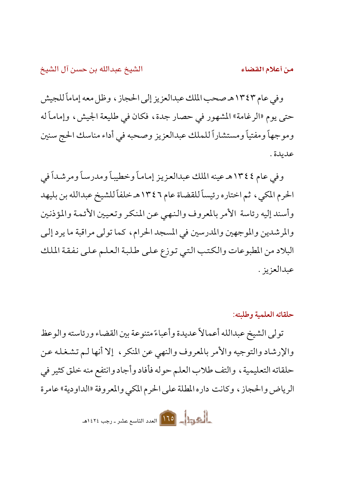من أعلام القضاء

وفي عام ١٣٤٣هـ صحب الملك عبدالعزيز إلى الحجاز ، وظل معه إماماً للجيش حتى يوم «الرغامة» المشهور في حصار جدة ، فكان في طليعة الجيش ، وإماماً له وموجهاً ومفتياً ومستشاراً للملك عبدالعزيز وصحبه في أداء مناسك الحج سنين عديدة .

وفي عام ١٣٤٤هـ عينه الملك عبدالعزيز إماماً وخطيباً ومدرساً ومرشداً في الحرم المكيي، ثم اختاره رئيساً للقضاة عام ١٣٤٦هـ خلفاً للشيخ عبدالله بن بليهد وأسند إليه رئاسة الأمر بالمعروف والنهي عن المنكر وتعيين الأئمة والمؤذنين والمرشدين والموجهين والمدرسين في المسجد الحرام، كما تولى مراقبة ما يرد إلى البلاد من المطبوعات والكتب التي توزع على طلبة العلم على نفقة الملك عبدالعزيز .

حلقاته العلمية وطلبته:

تولى الشيخ عبدالله أعمالاً عديدة وأعباءً متنوعة بين القضاء ورئاسته والوعظ والإرشاد والتوجيه والأمر بالمعروف والنهى عن المنكر ، إلا أنها لـم تشغله عن حلقاته التعليمية ، والتف طلاب العلم حوله فأفاد وأجاد وانتفع منه خلق كثير في الرياض والحجاز ، وكانت داره المطلة على الحرم المكي والمعروفة «الداودية» عامرة

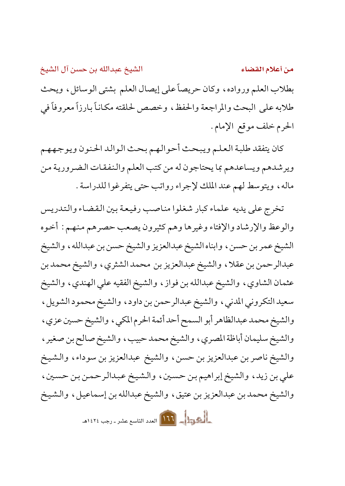الشيخ عبدالله بن حسن آل الشيخ من أعلام القضاء بطلاب العلم ورواده، وكان حريصاً على إيصال العلم بشتى الوسائل، ويحث طلابه على البحث والمراجعة والحفظ، وخصص لحلقته مكاناً بارزاً معروفاً في الحرم خلف موقع الإمام.

كان يتفقد طلبة العلم ويبحث أحوالهم بحث الوالد الحنون ويوجههم ويرشدهم ويساعدهم بما يحتاجون له من كتب العلم والنفقات الضرورية من ماله، ويتوسط لهم عند الملك لإجراء رواتب حتى يتفرغوا للدراسة .

تخرج على يديه علماء كبار شغلوا مناصب رفيعة بين القضاء والتدريس والوعظ والإرشاد والإفتاء وغيرها وهم كثيرون يصعب حصرهم منهم : أخوه الشيخ عمر بن حسن ، وابناه الشيخ عبدالعزيز والشيخ حسن بن عبدالله ، والشيخ عبدالرحمن بن عقلا، والشيخ عبدالعزيز بن محمد الشثري، والشيخ محمد بن عثمان الشاوي، والشيخ عبدالله بن فواز ، والشيخ الفقيه على الهندي ، والشيخ سعيد التكروني المدنى، والشيخ عبدالرحمن بن داود، والشيخ محمود الشويل، والشيخ محمد عبدالظاهر أبو السمح أحد أئمة الحرم المكيي، والشيخ حسين عزيي، والشيخ سليمان أباظة المصري ، والشيخ محمد حبيب ، والشيخ صالح بن صغير ، والشيخ ناصر بن عبدالعزيز بن حسن، والشيخ عبدالعزيز بن سوداء، والشيخ علي بن زيد، والشيخ إبراهيم بن حسين، والشيخ عبدالرحمن بن حسين، والشيخ محمد بن عبدالعزيز بن عتيق، والشيخ عبدالله بن إسماعيل، والشيخ المصرية العلم العدد التاسع عشر ـ رجب ١٤٢٤هـ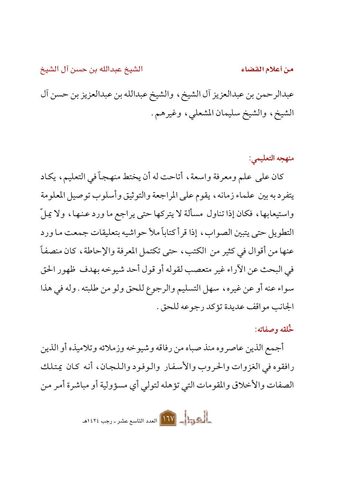من أعلام القضاء

عبدالرحمن بن عبدالعزيز أل الشيخ، والشيخ عبدالله بن عبدالعزيز بن حسن أل الشيخ، والشيخ سليمان المشعلي، وغيرهم.

## منهجه التعليمي:

كان على علم ومعرفة واسعة ، أتاحت له أن يختط منهجاً في التعليم ، يكاد يتفرد به بين علماء زمانه، يقوم على المراجعة والتوثيق وأسلوب توصيل المعلومة واستيعابها، فكان إذا تناول مسألة لا يتركها حتى يراجع ما ورد عنها، ولا يملّ التطويل حتى يتبين الصواب، إذا قرأ كتاباً ملأ حواشيه بتعليقات جمعت ما ورد عنها من أقوال في كثيرٍ من الكتب، حتى تكتمل المعرفة والإحاطة، كان منصفاً في البحث عن الأراء غير متعصب لقوله أو قول أحد شيوخه بهدف ظهور الحق سواء عنه أو عن غيره، سهل التسليم والرجوع للحق ولو من طلبته . وله في هذا الجانب مو اقف عديدة تؤكد رجو عه للحق .

## خُلقه وصفاته:

أجمع الذين عاصروه منذ صباه من رفاقه وشيوخه وزملائه وتلاميذه أو الذين رافقوه في الغزوات والحروب والأسفار والوفود واللجان، أنه كان يمتلك الصفات والأخلاق والمقومات التي تؤهله لتولى أي مسؤولية أو مباشرة أمر من

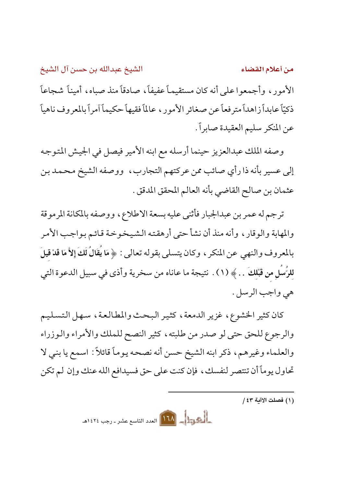الشيخ عبدالله بن حسن آل الشيخ من أعلام القضاء الأمور، وأجمعوا على أنه كان مستقيماً عفيفاً، صادقاً منذ صباه، أميناً شجاعاً ذكيّاً عابداً زاهداً مترفعاً عن صغائر الأمور، عالماً فقيهاً حكيماً آمراً بالمعروف ناهياً عن المنكر سليم العقيدة صابراً.

وصفه الملك عبدالعزيز حينما أرسله مع ابنه الأمير فيصل في الجيش المتوجه إلى عسير بأنه ذا رأى صائب ممن عركتهم التجارب، ووصفه الشيخ محمد بن عثمان بن صالح القاضي بأنه العالم المحقق المدقق .

ترجم له عمر بن عبدالجبار فأثنى عليه بسعة الاطلاع، ووصفه بالمكانة المرموقة والمهابة والوقار ، وأنه منذ أن نشأ حتى أرهقته الشيخوخة قائم بواجب الأمر بِالمعروف والنهي عن المنكر ، وكان يتسلى بقوله تعالى : ﴿ مَا يَقَالُ لَكَ إِلاَّ مَا قَدْ قِيلَ للرُّسُلِ من قَبْلكُ … ﴾ (١) . نتيجة ما عاناه من سخرية وأذى في سبيل الدعوة التي هي واجب الرسل .

كان كثير الخشوع، غزير الدمعة، كثير البحث والمطالعة، سهل التسليم والرجوع للحق حتى لو صدر من طلبته ، كثير النصح للملك والأمراء والوزراء والعلماء وغيرهم، ذكر ابنه الشيخ حسن أنه نصحه يوماً قائلاً: اسمع يا بني لا تحاول يوماً أن تنتصر لنفسك ، فإن كنت على حق فسيدافع الله عنك وإن لم تكن

المصر المسلم العدد التاسع عشر ـ رجب ١٤٢٤هـ

<sup>(</sup>١) فصلت الاآية ٤٣ /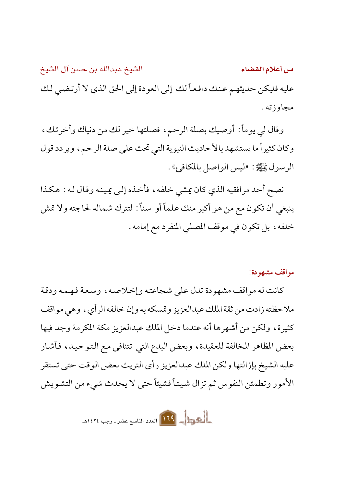الشيخ عبدالله بن حسن آل الشيخ من أعلام القضاء عليه فليكن حديثهم عنك دافعاً لك إلى العودة إلى الحق الذي لا أرتضي لك مجاوزته .

وقال لي يوماً: أوصيك بصلة الرحم، فصلتها خير لك من دنياك وأخرتك، وكان كثيراً ما يستشهد بالأحاديث النبوية التي تحث على صلة الرحم، ويردد قول الرسول ﷺ: «ليس الواصل بالمكافئ».

نصح أحد مرافقيه الذي كان يمشي خلفه، فأخذه إلى يمينه وقال له : هكذا ينبغي أن تكون مع من هو أكبر منك علماً أو سناً : لتترك شماله لحاجته ولا تمش خلفه، بل تكون في موقف المصلى المنفرد مع إمامه .

مواقف مشهودة:

كانت له مواقف مشهودة تدل على شجاعته وإخلاصه، وسعة فهمه ودقة ملاحظته زادت من ثقة الملك عبدالعزيز وتمسكه به وإن خالفه الرأي، وهي مواقف كثيرة، ولكن من أشهرها أنه عندما دخل الملك عبدالعزيز مكة المكرمة وجد فيها بعض المظاهر المخالفة للعقيدة، وبعض البدع التي تتنافى مع التوحيد، فأشار عليه الشيخ بإزالتها ولكن الملك عبدالعزيز رأى التريث بعض الوقت حتى تستقر الأمور وتطمئن النفوس ثم تزال شيئاً فشيئاً حتى لا يحدث شيء من التشويش

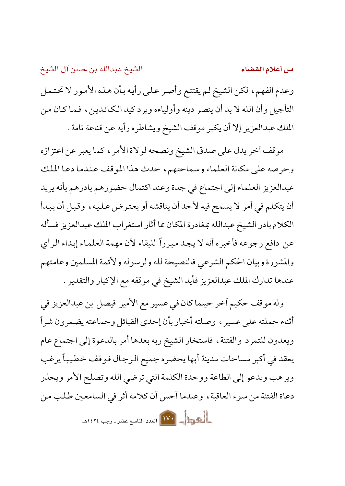من أعلام القضاء

وعدم الفهم، لكن الشيخ لم يقتنع وأصر على رأيه بأن هذه الأمور لا تحتمل التأجيل وأن الله لا بد أن ينصر دينه وأولياءه ويرد كيد الكائدين، فما كان من الملك عبدالعزيز إلا أن يكبر موقف الشيخ ويشاطره رأيه عن قناعة تامة .

موقف أخر يدل على صدق الشيخ ونصحه لولاة الأمر ، كما يعبر عن اعتزازه وحرصه على مكانة العلماء وسماحتهم، حدث هذا الموقف عندما دعا الملك عبدالعزيز العلماء إلى اجتماع في جدة وعند اكتمال حضورهم بادرهم بأنه يريد أن يتكلم في أمر لا يسمح فيه لأحد أن يناقشه أو يعترض عليه، وقبل أن يبدأ الكلام بادر الشيخ عبدالله بمغادرة المكان مما أثار استغراب الملك عبدالعزيز فسأله عن دافع رجوعه فأخبره أنه لا يجد مبرراً للبقاء لأن مهمة العلماء إبداء الرأى والمشورة وبيان الحكم الشرعي فالنصيحة لله ولرسوله ولأئمة المسلمين وعامتهم عندها تدارك الملك عبدالعزيز فأيد الشيخ في موقفه مع الإكبار والتقدير .

وله موقف حكيم أخر حينما كان في عسير مع الأمير فيصل بن عبدالعزيز في أثناء حملته على عسيرٍ ، وصلته أخبار بأن إحدى القبائل وجماعته يضمرون شراً ويعدون للتمرد والفتنة، فاستخار الشيخ ربه بعدها أمر بالدعوة إلى اجتماع عام يعقد في أكبر مساحات مدينة أبها يحضره جميع الرجال فوقف خطيباً يرغب ويرهب ويدعو إلى الطاعة ووحدة الكلمة التي ترضى الله وتصلح الأمر ويحذر دعاة الفتنة من سوء العاقبة، وعندما أحس أن كلامه أثر في السامعين طلب من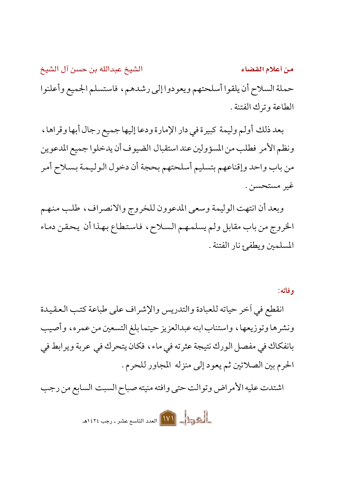الشيخ عبدالله بن حسن آل الشيخ من أعلام القضاء حملة السلاح أن يلقوا أسلحتهم ويعودوا إلى رشدهم، فاستسلم الجميع وأعلنوا الطاعة وترك الفتنة .

بعد ذلك أولم وليمة كبيرة في دار الإمارة ودعا إليها جميع رجال أبها وقراها، ونظم الأمر فطلب من المسؤولين عند استقبال الضيوف أن يدخلوا جميع المدعوين من باب واحد وإقناعهم بتسليم أسلحتهم بحجة أن دخول الوليمة بسلاح أمر غير مستحسن .

وبعد أن انتهت الوليمة وسعى المدعوون للخروج والانصراف، طلب منهم الخروج من باب مقابل ولم يسلمهم السلاح، فاستطاع بهذا أن يحقن دماء المسلمين ويطفئ نار الفتنة .

وفاته:

انقطع في أخر حياته للعبادة والتدريس والإشراف على طباعة كتب العقيدة ونشرها وتوزيعها، واستناب ابنه عبدالعزيز حينما بلغ التسعين من عمره، وأصيب بانفكاك في مفصل الورك نتيجة عثرته في ماء، فكان يتحرك في عربة ويرابط في الحرم بين الصلاتين ثم يعود إلى منزله المجاور للحرم .

اشتدت عليه الأمراض وتوالت حتى وافته منيته صباح السبت السابع من رجب

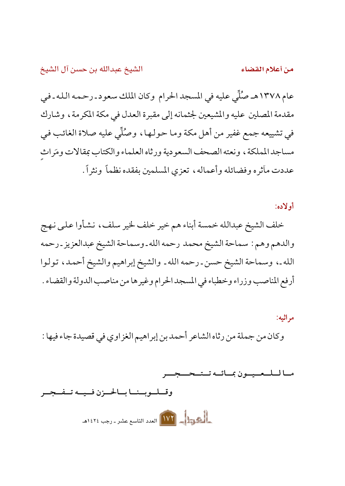من أعلام القضاء

عام ١٣٧٨هـ صُلِّي عليه في المسجد الحرام وكان الملك سعود ـ رحمه الله ـ في مقدمة المصلين عليه والمشيعين لجثمانه إلى مقبرة العدل في مكة المكرمة ، وشارك في تشييعه جمع غفير من أهل مكة وما حولها، وصُلِّي عليه صلاة الغائب في مساجد المملكة ، ونعته الصحف السعودية ورثاه العلماء والكتاب بمقالات ومَراث عددت مأثره وفضائله وأعماله، تعزي المسلمين بفقده نظمأ ونثراً.

أو لاده:

خلف الشيخ عبدالله خمسة أبناء هم خير خلف لخير سلف، نشأوا علىي نهج والدهم وهم : سماحة الشيخ محمد رحمه الله ـ وسماحة الشيخ عبدالعزيز ـ رحمه الله ـ، وسماحة الشيخ حسن ـرحمه الله ـ والشيخ إبراهيم والشيخ أحمد، تولوا أرفع المناصب وزراء وخطباء في المسجد الحرام وغيرها من مناصب الدولة والقضاء .

مر اثبه: وكان من جملة من رثاه الشاعر أحمد بن إبراهيم الغزاوي في قصيدة جاء فيها :

ما لللعبيون بمائيه تستحييجا

وقسلسويسنسا بسالحسزن فسيسه تسفسجسر والمستعمل المستعمل المستعمل المستعمل المستعمل المستعمل المستعمل المستعمل المستعمل المستعمل المستعمل المستعمل ا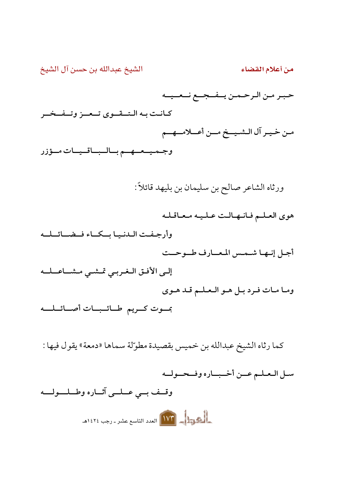الشيخ عبدالله بن حسن آل الشيخ من أعلام القضاء حبىر من الرحمن يـفـجـع نـعـيـه كيانت به التسقيوي تسعيز وتسفيخير مـن خـيـر آل الـشـيــخ مــن أعــلامــهــم وجميعهم بالباقيات مؤزر ورثاه الشاعر صالح بن سليمان بن بليهد قائلاً : هوى العلم فانهالت عليه معاقله وأرجفت الدنيا بكاء فضائله أجبل إنبهيا شبمس المعسارف طسوحيت إلى الأفق الغربي تمشى مشاعله وما مات فرد بـل هـو الـعـلـم قـد هـوى بموت كريم طائبات أصائلله كما رثاه الشيخ عبدالله بن خميس بقصيدة مطوّلة سماها «دمعة» يقول فيها : سل العلم عمن أخباره وفحوله وقف بي عبلي آثاره وطيلوليه